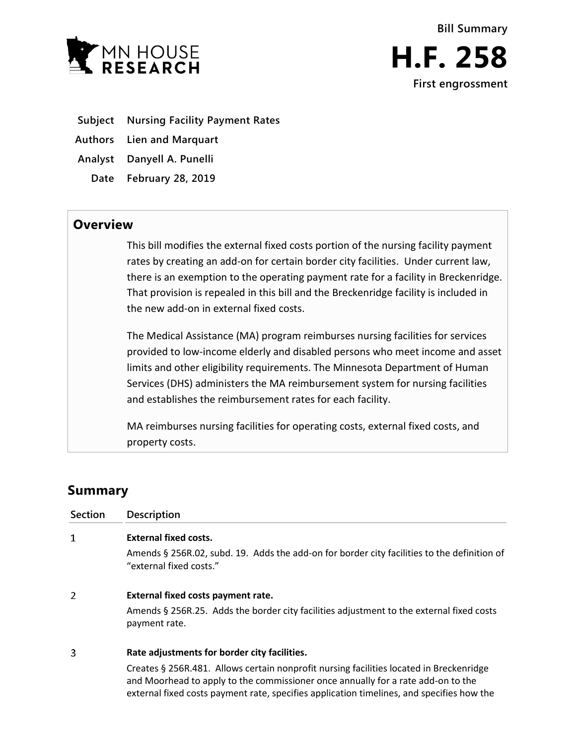

- **Subject Nursing Facility Payment Rates**
- **Authors Lien and Marquart**
- **Analyst Danyell A. Punelli**
	- **Date February 28, 2019**

## **Overview**

This bill modifies the external fixed costs portion of the nursing facility payment rates by creating an add-on for certain border city facilities. Under current law, there is an exemption to the operating payment rate for a facility in Breckenridge. That provision is repealed in this bill and the Breckenridge facility is included in the new add-on in external fixed costs.

The Medical Assistance (MA) program reimburses nursing facilities for services provided to low-income elderly and disabled persons who meet income and asset limits and other eligibility requirements. The Minnesota Department of Human Services (DHS) administers the MA reimbursement system for nursing facilities and establishes the reimbursement rates for each facility.

MA reimburses nursing facilities for operating costs, external fixed costs, and property costs.

## **Summary**

| <b>Section</b> | Description                                                                                                                                                                                                                                                              |
|----------------|--------------------------------------------------------------------------------------------------------------------------------------------------------------------------------------------------------------------------------------------------------------------------|
| 1              | <b>External fixed costs.</b>                                                                                                                                                                                                                                             |
|                | Amends § 256R.02, subd. 19. Adds the add-on for border city facilities to the definition of<br>"external fixed costs."                                                                                                                                                   |
| 2              | External fixed costs payment rate.                                                                                                                                                                                                                                       |
|                | Amends § 256R.25. Adds the border city facilities adjustment to the external fixed costs<br>payment rate.                                                                                                                                                                |
| 3              | Rate adjustments for border city facilities.                                                                                                                                                                                                                             |
|                | Creates § 256R.481. Allows certain nonprofit nursing facilities located in Breckenridge<br>and Moorhead to apply to the commissioner once annually for a rate add-on to the<br>external fixed costs payment rate, specifies application timelines, and specifies how the |